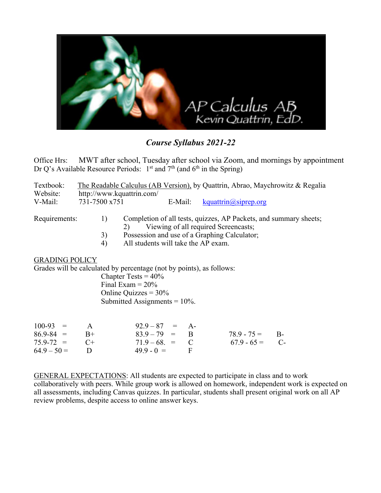

*Course Syllabus 2021-22*

Office Hrs: MWT after school, Tuesday after school via Zoom, and mornings by appointment Dr Q's Available Resource Periods:  $1<sup>st</sup>$  and  $7<sup>th</sup>$  (and  $6<sup>th</sup>$  in the Spring)

| Textbook:<br>Website:                                                                                                                          | The Readable Calculus (AB Version), by Quattrin, Abrao, Maychrowitz & Regalia<br>http://www.kquattrin.com/ |               |                                                                                                                 |              |  |                               |  |  |
|------------------------------------------------------------------------------------------------------------------------------------------------|------------------------------------------------------------------------------------------------------------|---------------|-----------------------------------------------------------------------------------------------------------------|--------------|--|-------------------------------|--|--|
| V-Mail:                                                                                                                                        |                                                                                                            | 731-7500 x751 |                                                                                                                 | E-Mail:      |  | $k$ quattrin $(a)$ siprep.org |  |  |
| Requirements:                                                                                                                                  |                                                                                                            | 1)            | Completion of all tests, quizzes, AP Packets, and summary sheets;<br>Viewing of all required Screencasts;<br>2) |              |  |                               |  |  |
|                                                                                                                                                |                                                                                                            | 3)            | Possession and use of a Graphing Calculator;                                                                    |              |  |                               |  |  |
|                                                                                                                                                |                                                                                                            | 4)            | All students will take the AP exam.                                                                             |              |  |                               |  |  |
| <b>GRADING POLICY</b><br>Grades will be calculated by percentage (not by points), as follows:<br>Chapter Tests = $40\%$<br>Final Exam $= 20\%$ |                                                                                                            |               |                                                                                                                 |              |  |                               |  |  |
| Online Quizzes = $30\%$                                                                                                                        |                                                                                                            |               |                                                                                                                 |              |  |                               |  |  |
| Submitted Assignments = $10\%$ .                                                                                                               |                                                                                                            |               |                                                                                                                 |              |  |                               |  |  |
|                                                                                                                                                |                                                                                                            |               |                                                                                                                 |              |  |                               |  |  |
| $100-93 =$                                                                                                                                     | $\mathbf{A}$                                                                                               |               | $92.9 - 87 = A$                                                                                                 |              |  |                               |  |  |
| $86.9 - 84 =$                                                                                                                                  | $B+$                                                                                                       |               | $83.9 - 79 = B$                                                                                                 |              |  | $78.9 - 75 =$ B-              |  |  |
| $75.9 - 72 = C +$                                                                                                                              |                                                                                                            |               | $71.9 - 68. = C$                                                                                                |              |  | $67.9 - 65 = C$               |  |  |
| $64.9 - 50 =$                                                                                                                                  | D                                                                                                          |               | $49.9 - 0 =$                                                                                                    | $\mathbf{F}$ |  |                               |  |  |

GENERAL EXPECTATIONS: All students are expected to participate in class and to work collaboratively with peers. While group work is allowed on homework, independent work is expected on all assessments, including Canvas quizzes. In particular, students shall present original work on all AP review problems, despite access to online answer keys.